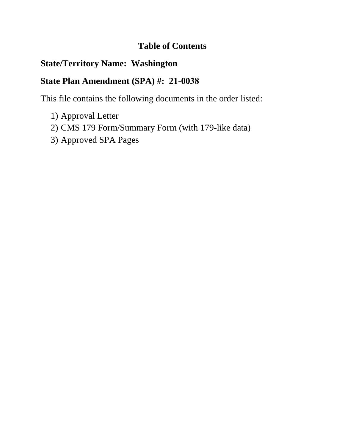## **Table of Contents**

# **State/Territory Name: Washington**

# **State Plan Amendment (SPA) #: 21-0038**

This file contains the following documents in the order listed:

- 1) Approval Letter
- 2) CMS 179 Form/Summary Form (with 179-like data)
- 3) Approved SPA Pages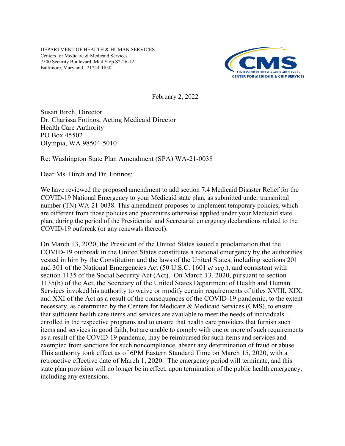DEPARTMENT OF HEALTH & HUMAN SERVICES Centers for Medicare & Medicaid Services 7500 Security Boulevard, Mail Stop S2-26-12 Baltimore, Maryland 21244-1850



February 2, 2022

Susan Birch, Director Dr. Charissa Fotinos, Acting Medicaid Director Health Care Authority PO Box 45502 Olympia, WA 98504-5010

Re: Washington State Plan Amendment (SPA) WA-21-0038

Dear Ms. Birch and Dr. Fotinos:

We have reviewed the proposed amendment to add section 7.4 Medicaid Disaster Relief for the COVID-19 National Emergency to your Medicaid state plan, as submitted under transmittal number (TN) WA-21-0038. This amendment proposes to implement temporary policies, which are different from those policies and procedures otherwise applied under your Medicaid state plan, during the period of the Presidential and Secretarial emergency declarations related to the COVID-19 outbreak (or any renewals thereof).

On March 13, 2020, the President of the United States issued a proclamation that the COVID-19 outbreak in the United States constitutes a national emergency by the authorities vested in him by the Constitution and the laws of the United States, including sections 201 and 301 of the National Emergencies Act (50 U.S.C. 1601 *et seq*.), and consistent with section 1135 of the Social Security Act (Act). On March 13, 2020, pursuant to section 1135(b) of the Act, the Secretary of the United States Department of Health and Human Services invoked his authority to waive or modify certain requirements of titles XVIII, XIX, and XXI of the Act as a result of the consequences of the COVID-19 pandemic, to the extent necessary, as determined by the Centers for Medicare & Medicaid Services (CMS), to ensure that sufficient health care items and services are available to meet the needs of individuals enrolled in the respective programs and to ensure that health care providers that furnish such items and services in good faith, but are unable to comply with one or more of such requirements as a result of the COVID-19 pandemic, may be reimbursed for such items and services and exempted from sanctions for such noncompliance, absent any determination of fraud or abuse. This authority took effect as of 6PM Eastern Standard Time on March 15, 2020, with a retroactive effective date of March 1, 2020. The emergency period will terminate, and this state plan provision will no longer be in effect, upon termination of the public health emergency, including any extensions.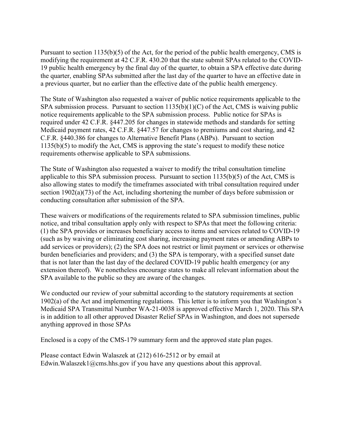Pursuant to section 1135(b)(5) of the Act, for the period of the public health emergency, CMS is modifying the requirement at 42 C.F.R. 430.20 that the state submit SPAs related to the COVID-19 public health emergency by the final day of the quarter, to obtain a SPA effective date during the quarter, enabling SPAs submitted after the last day of the quarter to have an effective date in a previous quarter, but no earlier than the effective date of the public health emergency.

The State of Washington also requested a waiver of public notice requirements applicable to the SPA submission process. Pursuant to section  $1135(b)(1)(C)$  of the Act, CMS is waiving public notice requirements applicable to the SPA submission process. Public notice for SPAs is required under 42 C.F.R. §447.205 for changes in statewide methods and standards for setting Medicaid payment rates, 42 C.F.R. §447.57 for changes to premiums and cost sharing, and 42 C.F.R. §440.386 for changes to Alternative Benefit Plans (ABPs). Pursuant to section 1135(b)(5) to modify the Act, CMS is approving the state's request to modify these notice requirements otherwise applicable to SPA submissions.

The State of Washington also requested a waiver to modify the tribal consultation timeline applicable to this SPA submission process. Pursuant to section 1135(b)(5) of the Act, CMS is also allowing states to modify the timeframes associated with tribal consultation required under section 1902(a)(73) of the Act, including shortening the number of days before submission or conducting consultation after submission of the SPA.

These waivers or modifications of the requirements related to SPA submission timelines, public notice, and tribal consultation apply only with respect to SPAs that meet the following criteria: (1) the SPA provides or increases beneficiary access to items and services related to COVID-19 (such as by waiving or eliminating cost sharing, increasing payment rates or amending ABPs to add services or providers); (2) the SPA does not restrict or limit payment or services or otherwise burden beneficiaries and providers; and (3) the SPA is temporary, with a specified sunset date that is not later than the last day of the declared COVID-19 public health emergency (or any extension thereof). We nonetheless encourage states to make all relevant information about the SPA available to the public so they are aware of the changes.

We conducted our review of your submittal according to the statutory requirements at section 1902(a) of the Act and implementing regulations. This letter is to inform you that Washington's Medicaid SPA Transmittal Number WA-21-0038 is approved effective March 1, 2020. This SPA is in addition to all other approved Disaster Relief SPAs in Washington, and does not supersede anything approved in those SPAs

Enclosed is a copy of the CMS-179 summary form and the approved state plan pages.

Please contact Edwin Walaszek at (212) 616-2512 or by email at Edwin. Walaszek1@cms.hhs.gov if you have any questions about this approval.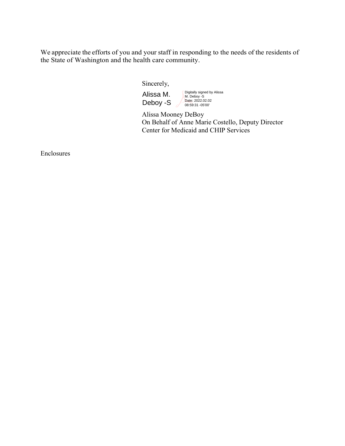We appreciate the efforts of you and your staff in responding to the needs of the residents of the State of Washington and the health care community.

Sincerely,

Alissa M. Deboy -S Digitally signed by Alissa M. Deboy -S Date: 2022.02.02 08:59:31 -05'00'

Alissa Mooney DeBoy On Behalf of Anne Marie Costello, Deputy Director Center for Medicaid and CHIP Services

Enclosures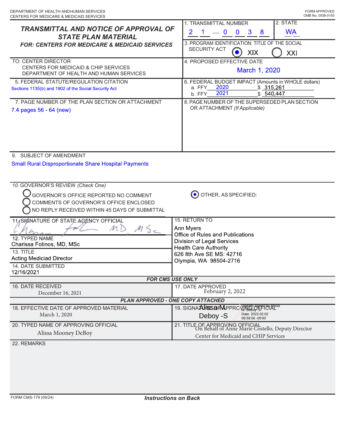| DEPARTMENT OF HEALTH ANDHUMAN SERVICES                                                                               | FORM APPROVED                                                                                                                       |  |
|----------------------------------------------------------------------------------------------------------------------|-------------------------------------------------------------------------------------------------------------------------------------|--|
| CENTERS FOR MEDICARE & MEDICAID SERVICES<br><b>TRANSMITTAL AND NOTICE OF APPROVAL OF</b>                             | OMB No. 0938-0193<br>2. STATE<br>1. TRANSMITTAL NUMBER                                                                              |  |
| <b>STATE PLAN MATERIAL</b><br><b>FOR: CENTERS FOR MEDICARE &amp; MEDICAID SERVICES</b>                               | <b>WA</b><br>$\overline{2}$<br>$\overline{0}$<br>$\mathbf 0$<br>$\mathbf{3}$<br>8<br>3. PROGRAM IDENTIFICATION: TITLE OF THE SOCIAL |  |
|                                                                                                                      | <b>SECURITY ACT</b><br>XIX<br>XXI                                                                                                   |  |
| TO: CENTER DIRECTOR<br>CENTERS FOR MEDICAID & CHIP SERVICES<br>DEPARTMENT OF HEALTH AND HUMAN SERVICES               | 4. PROPOSED EFFECTIVE DATE<br>March 1, 2020                                                                                         |  |
| 5. FEDERAL STATUTE/REGULATION CITATION<br>Sections 1135(b) and 1902 of the Social Security Act                       | 6. FEDERAL BUDGET IMPACT (Amounts in WHOLE dollars)<br>2020<br>\$315,261<br>a. FFY<br>2021<br>\$540,447<br>b. FFY                   |  |
| 7. PAGE NUMBER OF THE PLAN SECTION OR ATTACHMENT<br>7.4 pages 56 - 64 (new)                                          | 8. PAGE NUMBER OF THE SUPERSEDED PLAN SECTION<br>OR ATTACHMENT (If Applicable)                                                      |  |
| 9. SUBJECT OF AMENDMENT                                                                                              |                                                                                                                                     |  |
| <b>Small Rural Disproportionate Share Hospital Payments</b>                                                          |                                                                                                                                     |  |
|                                                                                                                      |                                                                                                                                     |  |
| 10. GOVERNOR'S REVIEW (Check One)<br>GOVERNOR'S OFFICE REPORTED NO COMMENT<br>COMMENTS OF GOVERNOR'S OFFICE ENCLOSED | OTHER, AS SPECIFIED:<br>$(\bullet)$                                                                                                 |  |
| NO REPLY RECEIVED WITHIN 45 DAYS OF SUBMITTAL                                                                        |                                                                                                                                     |  |
| 11 SIGNATURE OF STATE AGENCY OFFICIAL<br>MD                                                                          | 15. RETURN TO<br>Ann Myers                                                                                                          |  |
| MS<br>12. TYPED NAME                                                                                                 | Office of Rules and Publications                                                                                                    |  |
| Charissa Fotinos, MD, MSc                                                                                            | <b>Division of Legal Services</b><br><b>Health Care Authority</b>                                                                   |  |
| 13. TITLE<br><b>Acting Mediciad Director</b>                                                                         | 626 8th Ave SE MS: 42716                                                                                                            |  |
| 14. DATE SUBMITTED                                                                                                   | Olympia, WA 98504-2716                                                                                                              |  |
| 12/16/2021                                                                                                           |                                                                                                                                     |  |
| <b>FOR CMS USE ONLY</b><br>16. DATE RECEIVED                                                                         | 17. DATE APPROVED                                                                                                                   |  |
| December 16, 2021                                                                                                    | February 2, 2022                                                                                                                    |  |
| <b>PLAN APPROVED - ONE COPY ATTACHED</b>                                                                             |                                                                                                                                     |  |
| 18. EFFECTIVE DATE OF APPROVED MATERIAL<br>March 1, 2020                                                             | 19. SIGNA <b>AJISS@FM</b> PPROVING PSPERIOLALES                                                                                     |  |
| 20. TYPED NAME OF APPROVING OFFICIAL                                                                                 | Date: 2022.02.02<br>08:59:56 -05'00'<br>Deboy -S                                                                                    |  |
| Alissa Mooney DeBoy                                                                                                  | 21. TITLE OF APPROVING OFFICIAL<br>On Behalf of Anne Marie Costello, Deputy Director<br>Center for Medicaid and CHIP Services       |  |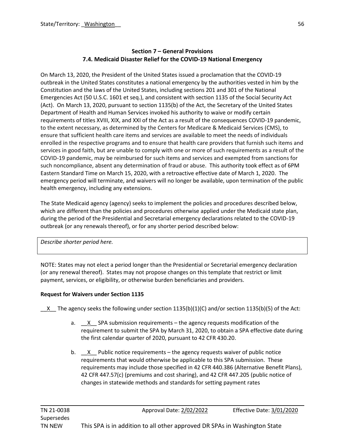## **Section 7 – General Provisions 7.4. Medicaid Disaster Relief for the COVID-19 National Emergency**

On March 13, 2020, the President of the United States issued a proclamation that the COVID-19 outbreak in the United States constitutes a national emergency by the authorities vested in him by the Constitution and the laws of the United States, including sections 201 and 301 of the National Emergencies Act (50 U.S.C. 1601 et seq.), and consistent with section 1135 of the Social Security Act (Act). On March 13, 2020, pursuant to section 1135(b) of the Act, the Secretary of the United States Department of Health and Human Services invoked his authority to waive or modify certain requirements of titles XVIII, XIX, and XXI of the Act as a result of the consequences COVID-19 pandemic, to the extent necessary, as determined by the Centers for Medicare & Medicaid Services (CMS), to ensure that sufficient health care items and services are available to meet the needs of individuals enrolled in the respective programs and to ensure that health care providers that furnish such items and services in good faith, but are unable to comply with one or more of such requirements as a result of the COVID-19 pandemic, may be reimbursed for such items and services and exempted from sanctions for such noncompliance, absent any determination of fraud or abuse. This authority took effect as of 6PM Eastern Standard Time on March 15, 2020, with a retroactive effective date of March 1, 2020. The emergency period will terminate, and waivers will no longer be available, upon termination of the public health emergency, including any extensions.

The State Medicaid agency (agency) seeks to implement the policies and procedures described below, which are different than the policies and procedures otherwise applied under the Medicaid state plan, during the period of the Presidential and Secretarial emergency declarations related to the COVID-19 outbreak (or any renewals thereof), or for any shorter period described below:

*Describe shorter period here.*

NOTE: States may not elect a period longer than the Presidential or Secretarial emergency declaration (or any renewal thereof). States may not propose changes on this template that restrict or limit payment, services, or eligibility, or otherwise burden beneficiaries and providers.

## **Request for Waivers under Section 1135**

X The agency seeks the following under section 1135(b)(1)(C) and/or section 1135(b)(5) of the Act:

- a. X SPA submission requirements the agency requests modification of the requirement to submit the SPA by March 31, 2020, to obtain a SPA effective date during the first calendar quarter of 2020, pursuant to 42 CFR 430.20.
- b.  $X$  Public notice requirements the agency requests waiver of public notice requirements that would otherwise be applicable to this SPA submission. These requirements may include those specified in 42 CFR 440.386 (Alternative Benefit Plans), 42 CFR 447.57(c) (premiums and cost sharing), and 42 CFR 447.205 (public notice of changes in statewide methods and standards for setting payment rates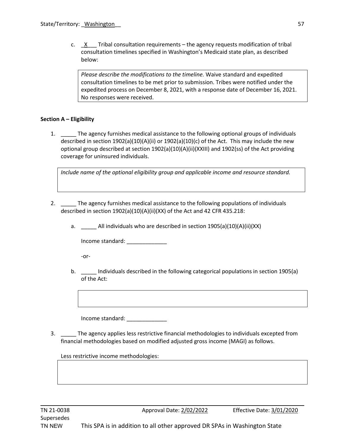c.  $X$  Tribal consultation requirements – the agency requests modification of tribal consultation timelines specified in Washington's Medicaid state plan, as described below:

*Please describe the modifications to the timeline.* Waive standard and expedited consultation timelines to be met prior to submission. Tribes were notified under the expedited process on December 8, 2021, with a response date of December 16, 2021. No responses were received.

### **Section A – Eligibility**

1. The agency furnishes medical assistance to the following optional groups of individuals described in section 1902(a)(10)(A)(ii) or 1902(a)(10)(c) of the Act. This may include the new optional group described at section 1902(a)(10)(A)(ii)(XXIII) and 1902(ss) of the Act providing coverage for uninsured individuals.

*Include name of the optional eligibility group and applicable income and resource standard.*

- 2. The agency furnishes medical assistance to the following populations of individuals described in section 1902(a)(10)(A)(ii)(XX) of the Act and 42 CFR 435.218:
	- a. \_\_\_\_\_ All individuals who are described in section 1905(a)(10)(A)(ii)(XX)

Income standard: \_\_\_\_\_\_\_\_\_\_\_\_\_

-or-

b. **Individuals described in the following categorical populations in section 1905(a)** of the Act:

Income standard: \_\_\_\_\_\_\_\_\_\_\_\_\_

3. \_\_\_\_\_ The agency applies less restrictive financial methodologies to individuals excepted from financial methodologies based on modified adjusted gross income (MAGI) as follows.

Less restrictive income methodologies: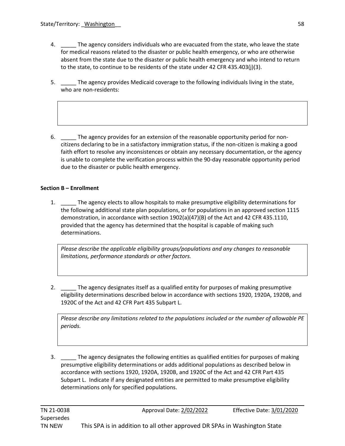- 4. \_\_\_\_\_ The agency considers individuals who are evacuated from the state, who leave the state for medical reasons related to the disaster or public health emergency, or who are otherwise absent from the state due to the disaster or public health emergency and who intend to return to the state, to continue to be residents of the state under 42 CFR 435.403(j)(3).
- 5. \_\_\_\_\_ The agency provides Medicaid coverage to the following individuals living in the state, who are non-residents:
- 6. \_\_\_\_\_ The agency provides for an extension of the reasonable opportunity period for noncitizens declaring to be in a satisfactory immigration status, if the non-citizen is making a good faith effort to resolve any inconsistences or obtain any necessary documentation, or the agency is unable to complete the verification process within the 90-day reasonable opportunity period due to the disaster or public health emergency.

### **Section B – Enrollment**

1. \_\_\_\_\_ The agency elects to allow hospitals to make presumptive eligibility determinations for the following additional state plan populations, or for populations in an approved section 1115 demonstration, in accordance with section 1902(a)(47)(B) of the Act and 42 CFR 435.1110, provided that the agency has determined that the hospital is capable of making such determinations.

*Please describe the applicable eligibility groups/populations and any changes to reasonable limitations, performance standards or other factors.*

2. \_\_\_\_\_ The agency designates itself as a qualified entity for purposes of making presumptive eligibility determinations described below in accordance with sections 1920, 1920A, 1920B, and 1920C of the Act and 42 CFR Part 435 Subpart L.

*Please describe any limitations related to the populations included or the number of allowable PE periods.*

3. \_\_\_\_\_ The agency designates the following entities as qualified entities for purposes of making presumptive eligibility determinations or adds additional populations as described below in accordance with sections 1920, 1920A, 1920B, and 1920C of the Act and 42 CFR Part 435 Subpart L. Indicate if any designated entities are permitted to make presumptive eligibility determinations only for specified populations.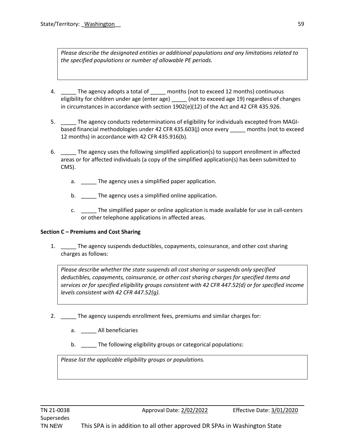*Please describe the designated entities or additional populations and any limitations related to the specified populations or number of allowable PE periods.*

- 4. The agency adopts a total of months (not to exceed 12 months) continuous eligibility for children under age (enter age) \_\_\_\_\_\_ (not to exceed age 19) regardless of changes in circumstances in accordance with section 1902(e)(12) of the Act and 42 CFR 435.926.
- 5. \_\_\_\_\_ The agency conducts redeterminations of eligibility for individuals excepted from MAGIbased financial methodologies under 42 CFR 435.603(j) once every \_\_\_\_\_ months (not to exceed 12 months) in accordance with 42 CFR 435.916(b).
- 6. The agency uses the following simplified application(s) to support enrollment in affected areas or for affected individuals (a copy of the simplified application(s) has been submitted to CMS).
	- a. \_\_\_\_\_\_ The agency uses a simplified paper application.
	- b. The agency uses a simplified online application.
	- c. \_\_\_\_\_ The simplified paper or online application is made available for use in call-centers or other telephone applications in affected areas.

### **Section C – Premiums and Cost Sharing**

1. \_\_\_\_\_ The agency suspends deductibles, copayments, coinsurance, and other cost sharing charges as follows:

*Please describe whether the state suspends all cost sharing or suspends only specified deductibles, copayments, coinsurance, or other cost sharing charges for specified items and services or for specified eligibility groups consistent with 42 CFR 447.52(d) or for specified income levels consistent with 42 CFR 447.52(g).*

- 2. \_\_\_\_\_ The agency suspends enrollment fees, premiums and similar charges for:
	- a. \_\_\_\_\_ All beneficiaries
	- b. The following eligibility groups or categorical populations:

*Please list the applicable eligibility groups or populations.*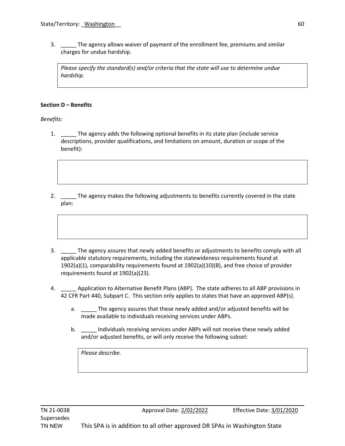3. \_\_\_\_\_ The agency allows waiver of payment of the enrollment fee, premiums and similar charges for undue hardship.

*Please specify the standard(s) and/or criteria that the state will use to determine undue hardship.* 

#### **Section D – Benefits**

*Benefits:*

- 1. The agency adds the following optional benefits in its state plan (include service descriptions, provider qualifications, and limitations on amount, duration or scope of the benefit):
- 2. The agency makes the following adjustments to benefits currently covered in the state plan:
- 3. \_\_\_\_\_ The agency assures that newly added benefits or adjustments to benefits comply with all applicable statutory requirements, including the statewideness requirements found at 1902(a)(1), comparability requirements found at 1902(a)(10)(B), and free choice of provider requirements found at 1902(a)(23).
- 4. \_\_\_\_\_ Application to Alternative Benefit Plans (ABP). The state adheres to all ABP provisions in 42 CFR Part 440, Subpart C. This section only applies to states that have an approved ABP(s).
	- a. The agency assures that these newly added and/or adjusted benefits will be made available to individuals receiving services under ABPs.
	- b. \_\_\_\_\_ Individuals receiving services under ABPs will not receive these newly added and/or adjusted benefits, or will only receive the following subset:

*Please describe.*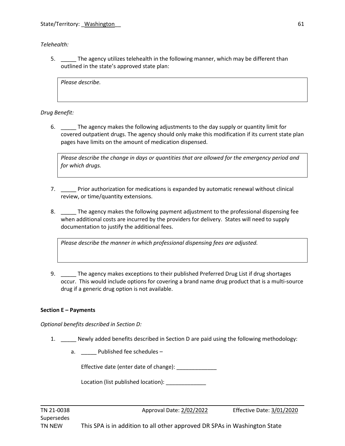*Telehealth:*

5. \_\_\_\_\_ The agency utilizes telehealth in the following manner, which may be different than outlined in the state's approved state plan:

*Please describe.*

*Drug Benefit:*

6. \_\_\_\_\_ The agency makes the following adjustments to the day supply or quantity limit for covered outpatient drugs. The agency should only make this modification if its current state plan pages have limits on the amount of medication dispensed.

*Please describe the change in days or quantities that are allowed for the emergency period and for which drugs.* 

- 7. \_\_\_\_\_ Prior authorization for medications is expanded by automatic renewal without clinical review, or time/quantity extensions.
- 8. \_\_\_\_\_ The agency makes the following payment adjustment to the professional dispensing fee when additional costs are incurred by the providers for delivery. States will need to supply documentation to justify the additional fees.

*Please describe the manner in which professional dispensing fees are adjusted.*

9. The agency makes exceptions to their published Preferred Drug List if drug shortages occur. This would include options for covering a brand name drug product that is a multi-source drug if a generic drug option is not available.

## **Section E – Payments**

*Optional benefits described in Section D:*

- 1. Newly added benefits described in Section D are paid using the following methodology:
	- a. \_\_\_\_\_\_ Published fee schedules –

Effective date (enter date of change): \_\_\_\_\_\_\_\_\_\_\_\_\_

Location (list published location):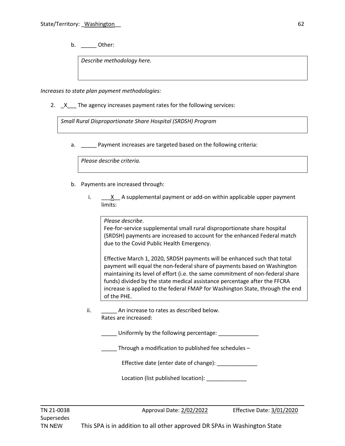b. \_\_\_\_\_\_ Other:

*Describe methodology here.*

*Increases to state plan payment methodologies:*

2. X The agency increases payment rates for the following services:

*Small Rural Disproportionate Share Hospital (SRDSH) Program*

a. \_\_\_\_\_ Payment increases are targeted based on the following criteria:

*Please describe criteria.*

- b. Payments are increased through:
	- i.  $\underline{\hspace{1cm}}\quad x$  A supplemental payment or add-on within applicable upper payment limits:

*Please describe.*

Fee-for-service supplemental small rural disproportionate share hospital (SRDSH) payments are increased to account for the enhanced Federal match due to the Covid Public Health Emergency.

Effective March 1, 2020, SRDSH payments will be enhanced such that total payment will equal the non-federal share of payments based on Washington maintaining its level of effort (i.e. the same commitment of non-federal share funds) divided by the state medical assistance percentage after the FFCRA increase is applied to the federal FMAP for Washington State, through the end of the PHE.

ii. An increase to rates as described below. Rates are increased:

\_\_\_\_\_ Uniformly by the following percentage: \_\_\_\_\_\_\_\_\_\_\_\_\_

\_\_\_\_\_ Through a modification to published fee schedules –

Effective date (enter date of change):

Location (list published location):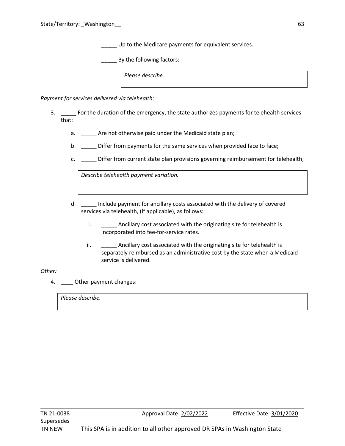Up to the Medicare payments for equivalent services.

By the following factors:

*Please describe.*

*Payment for services delivered via telehealth:*

- 3. \_\_\_\_\_ For the duration of the emergency, the state authorizes payments for telehealth services that:
	- a. \_\_\_\_\_\_ Are not otherwise paid under the Medicaid state plan;
	- b. \_\_\_\_\_ Differ from payments for the same services when provided face to face;
	- c. **EXECT:** Differ from current state plan provisions governing reimbursement for telehealth;

*Describe telehealth payment variation.*

- d. \_\_\_\_\_ Include payment for ancillary costs associated with the delivery of covered services via telehealth, (if applicable), as follows:
	- i. \_\_\_\_\_\_\_\_ Ancillary cost associated with the originating site for telehealth is incorporated into fee-for-service rates.
	- ii. Ancillary cost associated with the originating site for telehealth is separately reimbursed as an administrative cost by the state when a Medicaid service is delivered.

#### *Other:*

4. Other payment changes:

*Please describe.*